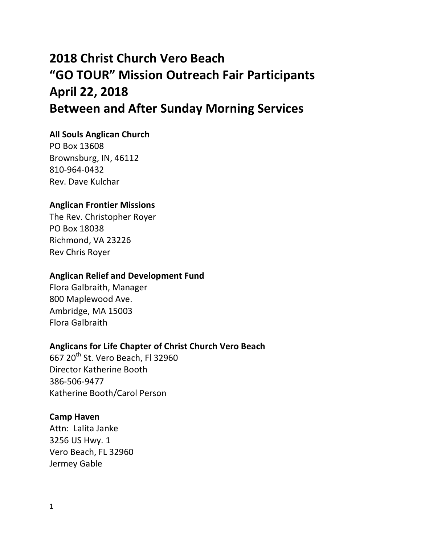# **2018 Christ Church Vero Beach "GO TOUR" Mission Outreach Fair Participants April 22, 2018 Between and After Sunday Morning Services**

# **All Souls Anglican Church**

PO Box 13608 Brownsburg, IN, 46112 810-964-0432 Rev. Dave Kulchar

#### **Anglican Frontier Missions**

The Rev. Christopher Royer PO Box 18038 Richmond, VA 23226 Rev Chris Royer

#### **Anglican Relief and Development Fund**

Flora Galbraith, Manager 800 Maplewood Ave. Ambridge, MA 15003 Flora Galbraith

# **Anglicans for Life Chapter of Christ Church Vero Beach**

667 20<sup>th</sup> St. Vero Beach, Fl 32960 Director Katherine Booth 386-506-9477 Katherine Booth/Carol Person

## **Camp Haven**

Attn: Lalita Janke 3256 US Hwy. 1 Vero Beach, FL 32960 Jermey Gable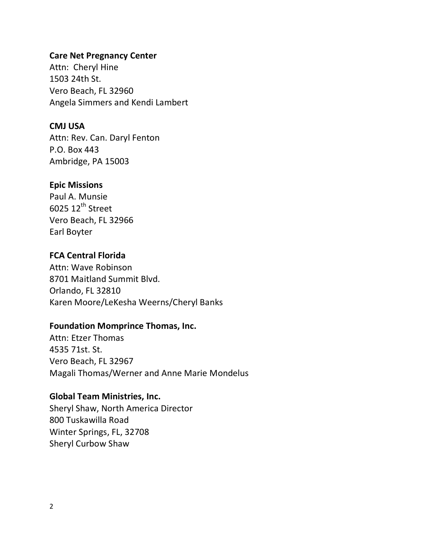## **Care Net Pregnancy Center**

Attn: Cheryl Hine 1503 24th St. Vero Beach, FL 32960 Angela Simmers and Kendi Lambert

## **CMJ USA**

Attn: Rev. Can. Daryl Fenton P.O. Box 443 Ambridge, PA 15003

## **Epic Missions**

Paul A. Munsie  $6025$   $12^{th}$  Street Vero Beach, FL 32966 Earl Boyter

# **FCA Central Florida**

Attn: Wave Robinson 8701 Maitland Summit Blvd. Orlando, FL 32810 Karen Moore/LeKesha Weerns/Cheryl Banks

# **Foundation Momprince Thomas, Inc.**

Attn: Etzer Thomas 4535 71st. St. Vero Beach, FL 32967 Magali Thomas/Werner and Anne Marie Mondelus

## **Global Team Ministries, Inc.**

Sheryl Shaw, North America Director 800 Tuskawilla Road Winter Springs, FL, 32708 Sheryl Curbow Shaw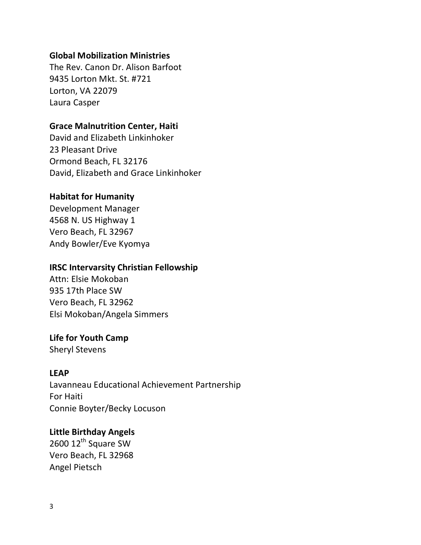## **Global Mobilization Ministries**

The Rev. Canon Dr. Alison Barfoot 9435 Lorton Mkt. St. #721 Lorton, VA 22079 Laura Casper

## **Grace Malnutrition Center, Haiti**

David and Elizabeth Linkinhoker 23 Pleasant Drive Ormond Beach, FL 32176 David, Elizabeth and Grace Linkinhoker

# **Habitat for Humanity**

Development Manager 4568 N. US Highway 1 Vero Beach, FL 32967 Andy Bowler/Eve Kyomya

# **IRSC Intervarsity Christian Fellowship**

Attn: Elsie Mokoban 935 17th Place SW Vero Beach, FL 32962 Elsi Mokoban/Angela Simmers

# **Life for Youth Camp**

Sheryl Stevens

## **LEAP**

Lavanneau Educational Achievement Partnership For Haiti Connie Boyter/Becky Locuson

## **Little Birthday Angels**

2600 12<sup>th</sup> Square SW Vero Beach, FL 32968 Angel Pietsch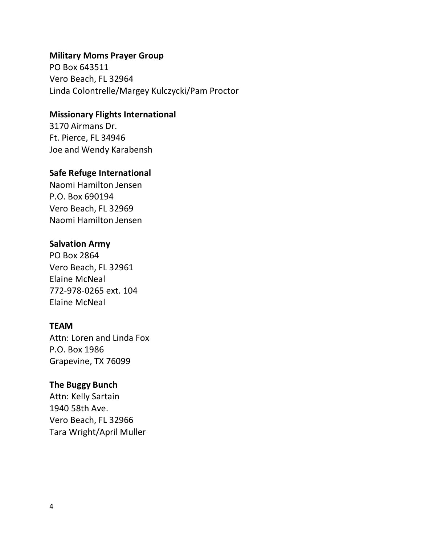#### **Military Moms Prayer Group**

PO Box 643511 Vero Beach, FL 32964 Linda Colontrelle/Margey Kulczycki/Pam Proctor

## **Missionary Flights International**

3170 Airmans Dr. Ft. Pierce, FL 34946 Joe and Wendy Karabensh

#### **Safe Refuge International**

Naomi Hamilton Jensen P.O. Box 690194 Vero Beach, FL 32969 Naomi Hamilton Jensen

#### **Salvation Army**

PO Box 2864 Vero Beach, FL 32961 Elaine McNeal 772-978-0265 ext. 104 Elaine McNeal

## **TEAM**

Attn: Loren and Linda Fox P.O. Box 1986 Grapevine, TX 76099

#### **The Buggy Bunch**

Attn: Kelly Sartain 1940 58th Ave. Vero Beach, FL 32966 Tara Wright/April Muller